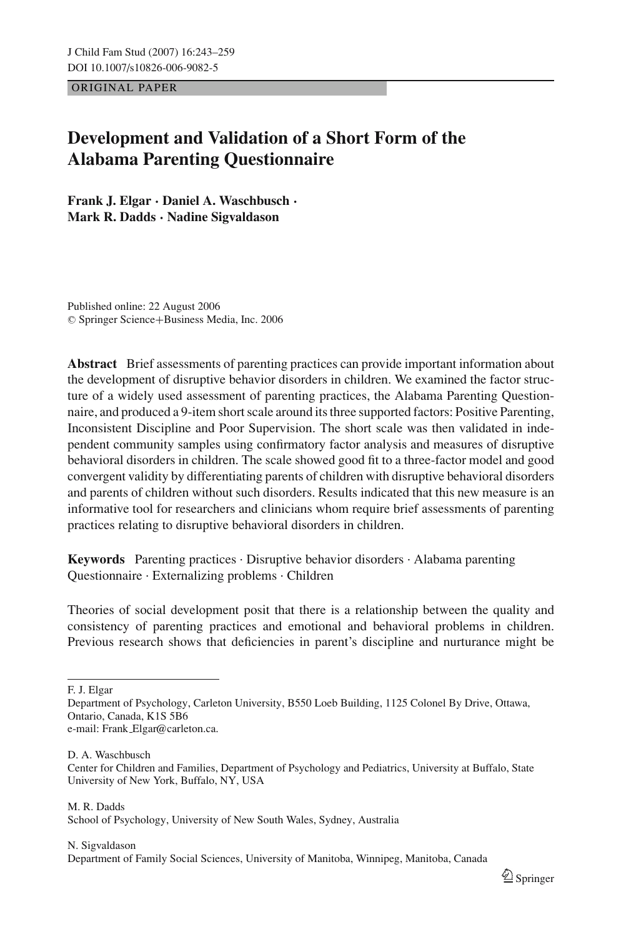ORIGINAL PAPER

# **Development and Validation of a Short Form of the Alabama Parenting Questionnaire**

**Frank J. Elgar · Daniel A. Waschbusch · Mark R. Dadds · Nadine Sigvaldason**

Published online: 22 August 2006 <sup>C</sup> Springer Science+Business Media, Inc. 2006

**Abstract** Brief assessments of parenting practices can provide important information about the development of disruptive behavior disorders in children. We examined the factor structure of a widely used assessment of parenting practices, the Alabama Parenting Questionnaire, and produced a 9-item short scale around its three supported factors: Positive Parenting, Inconsistent Discipline and Poor Supervision. The short scale was then validated in independent community samples using confirmatory factor analysis and measures of disruptive behavioral disorders in children. The scale showed good fit to a three-factor model and good convergent validity by differentiating parents of children with disruptive behavioral disorders and parents of children without such disorders. Results indicated that this new measure is an informative tool for researchers and clinicians whom require brief assessments of parenting practices relating to disruptive behavioral disorders in children.

**Keywords** Parenting practices . Disruptive behavior disorders . Alabama parenting Questionnaire . Externalizing problems . Children

Theories of social development posit that there is a relationship between the quality and consistency of parenting practices and emotional and behavioral problems in children. Previous research shows that deficiencies in parent's discipline and nurturance might be

F. J. Elgar

Department of Psychology, Carleton University, B550 Loeb Building, 1125 Colonel By Drive, Ottawa, Ontario, Canada, K1S 5B6 e-mail: Frank Elgar@carleton.ca.

D. A. Waschbusch

M. R. Dadds School of Psychology, University of New South Wales, Sydney, Australia

N. Sigvaldason Department of Family Social Sciences, University of Manitoba, Winnipeg, Manitoba, Canada

Center for Children and Families, Department of Psychology and Pediatrics, University at Buffalo, State University of New York, Buffalo, NY, USA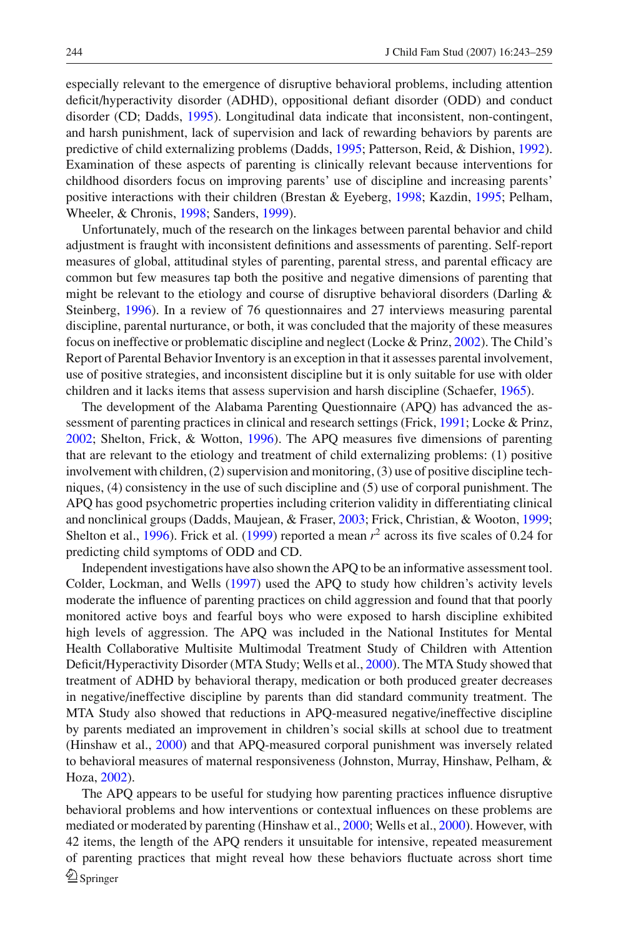especially relevant to the emergence of disruptive behavioral problems, including attention deficit/hyperactivity disorder (ADHD), oppositional defiant disorder (ODD) and conduct disorder (CD; Dadds, [1995\)](#page-15-0). Longitudinal data indicate that inconsistent, non-contingent, and harsh punishment, lack of supervision and lack of rewarding behaviors by parents are predictive of child externalizing problems (Dadds, [1995;](#page-15-0) Patterson, Reid, & Dishion, [1992\)](#page-15-1). Examination of these aspects of parenting is clinically relevant because interventions for childhood disorders focus on improving parents' use of discipline and increasing parents' positive interactions with their children (Brestan & Eyeberg, [1998;](#page-14-0) Kazdin, [1995;](#page-15-2) Pelham, Wheeler, & Chronis, [1998;](#page-15-3) Sanders, [1999\)](#page-15-4).

Unfortunately, much of the research on the linkages between parental behavior and child adjustment is fraught with inconsistent definitions and assessments of parenting. Self-report measures of global, attitudinal styles of parenting, parental stress, and parental efficacy are common but few measures tap both the positive and negative dimensions of parenting that might be relevant to the etiology and course of disruptive behavioral disorders (Darling & Steinberg, [1996\)](#page-15-5). In a review of 76 questionnaires and 27 interviews measuring parental discipline, parental nurturance, or both, it was concluded that the majority of these measures focus on ineffective or problematic discipline and neglect (Locke & Prinz, [2002\)](#page-15-6). The Child's Report of Parental Behavior Inventory is an exception in that it assesses parental involvement, use of positive strategies, and inconsistent discipline but it is only suitable for use with older children and it lacks items that assess supervision and harsh discipline (Schaefer, [1965\)](#page-15-7).

The development of the Alabama Parenting Questionnaire (APQ) has advanced the as-sessment of parenting practices in clinical and research settings (Frick, [1991;](#page-15-8) Locke & Prinz, [2002;](#page-15-6) Shelton, Frick, & Wotton, [1996\)](#page-15-9). The APQ measures five dimensions of parenting that are relevant to the etiology and treatment of child externalizing problems: (1) positive involvement with children, (2) supervision and monitoring, (3) use of positive discipline techniques, (4) consistency in the use of such discipline and (5) use of corporal punishment. The APQ has good psychometric properties including criterion validity in differentiating clinical and nonclinical groups (Dadds, Maujean, & Fraser, [2003;](#page-15-10) Frick, Christian, & Wooton, [1999;](#page-15-11) Shelton et al., [1996\)](#page-15-9). Frick et al. [\(1999\)](#page-15-11) reported a mean  $r^2$  across its five scales of 0.24 for predicting child symptoms of ODD and CD.

Independent investigations have also shown the APQ to be an informative assessment tool. Colder, Lockman, and Wells [\(1997\)](#page-15-12) used the APQ to study how children's activity levels moderate the influence of parenting practices on child aggression and found that that poorly monitored active boys and fearful boys who were exposed to harsh discipline exhibited high levels of aggression. The APQ was included in the National Institutes for Mental Health Collaborative Multisite Multimodal Treatment Study of Children with Attention Deficit/Hyperactivity Disorder (MTA Study; Wells et al., [2000\)](#page-16-0). The MTA Study showed that treatment of ADHD by behavioral therapy, medication or both produced greater decreases in negative/ineffective discipline by parents than did standard community treatment. The MTA Study also showed that reductions in APQ-measured negative/ineffective discipline by parents mediated an improvement in children's social skills at school due to treatment (Hinshaw et al., [2000\)](#page-15-13) and that APQ-measured corporal punishment was inversely related to behavioral measures of maternal responsiveness (Johnston, Murray, Hinshaw, Pelham, & Hoza, [2002\)](#page-15-14).

The APQ appears to be useful for studying how parenting practices influence disruptive behavioral problems and how interventions or contextual influences on these problems are mediated or moderated by parenting (Hinshaw et al., [2000;](#page-15-13) Wells et al., [2000\)](#page-16-0). However, with 42 items, the length of the APQ renders it unsuitable for intensive, repeated measurement of parenting practices that might reveal how these behaviors fluctuate across short time  $\bigcirc$  Springer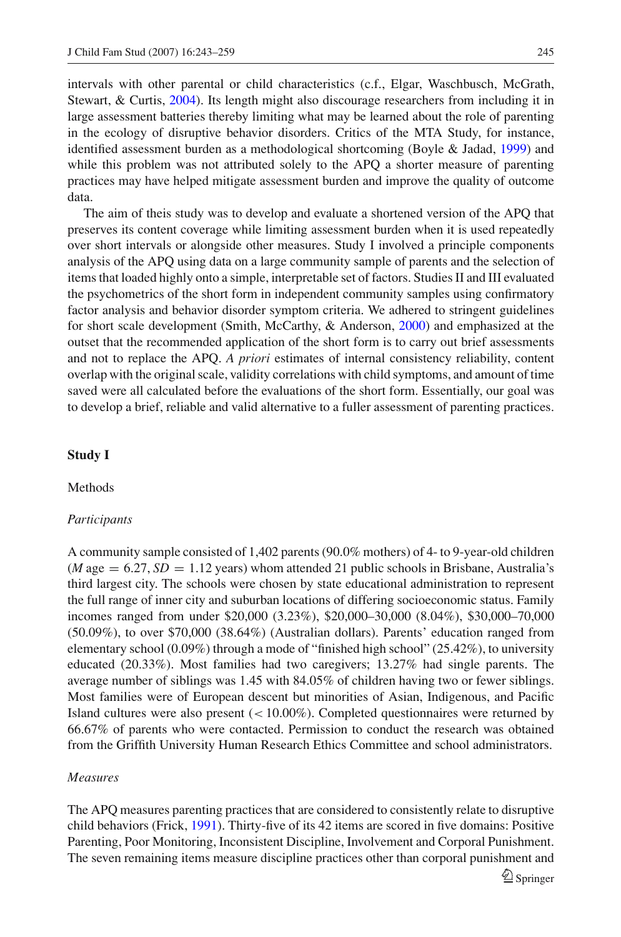intervals with other parental or child characteristics (c.f., Elgar, Waschbusch, McGrath, Stewart, & Curtis, [2004\)](#page-15-15). Its length might also discourage researchers from including it in large assessment batteries thereby limiting what may be learned about the role of parenting in the ecology of disruptive behavior disorders. Critics of the MTA Study, for instance, identified assessment burden as a methodological shortcoming (Boyle & Jadad, [1999\)](#page-14-1) and while this problem was not attributed solely to the APQ a shorter measure of parenting practices may have helped mitigate assessment burden and improve the quality of outcome data.

The aim of theis study was to develop and evaluate a shortened version of the APQ that preserves its content coverage while limiting assessment burden when it is used repeatedly over short intervals or alongside other measures. Study I involved a principle components analysis of the APQ using data on a large community sample of parents and the selection of items that loaded highly onto a simple, interpretable set of factors. Studies II and III evaluated the psychometrics of the short form in independent community samples using confirmatory factor analysis and behavior disorder symptom criteria. We adhered to stringent guidelines for short scale development (Smith, McCarthy, & Anderson, [2000\)](#page-15-16) and emphasized at the outset that the recommended application of the short form is to carry out brief assessments and not to replace the APQ. *A priori* estimates of internal consistency reliability, content overlap with the original scale, validity correlations with child symptoms, and amount of time saved were all calculated before the evaluations of the short form. Essentially, our goal was to develop a brief, reliable and valid alternative to a fuller assessment of parenting practices.

# **Study I**

Methods

#### *Participants*

A community sample consisted of 1,402 parents (90.0% mothers) of 4- to 9-year-old children  $(M \text{ age} = 6.27, SD = 1.12 \text{ years})$  whom attended 21 public schools in Brisbane, Australia's third largest city. The schools were chosen by state educational administration to represent the full range of inner city and suburban locations of differing socioeconomic status. Family incomes ranged from under \$20,000 (3.23%), \$20,000–30,000 (8.04%), \$30,000–70,000 (50.09%), to over \$70,000 (38.64%) (Australian dollars). Parents' education ranged from elementary school (0.09%) through a mode of "finished high school" (25.42%), to university educated (20.33%). Most families had two caregivers; 13.27% had single parents. The average number of siblings was 1.45 with 84.05% of children having two or fewer siblings. Most families were of European descent but minorities of Asian, Indigenous, and Pacific Island cultures were also present  $\left($  < 10.00%). Completed questionnaires were returned by 66.67% of parents who were contacted. Permission to conduct the research was obtained from the Griffith University Human Research Ethics Committee and school administrators.

## *Measures*

The APQ measures parenting practices that are considered to consistently relate to disruptive child behaviors (Frick, [1991\)](#page-15-8). Thirty-five of its 42 items are scored in five domains: Positive Parenting, Poor Monitoring, Inconsistent Discipline, Involvement and Corporal Punishment. The seven remaining items measure discipline practices other than corporal punishment and  $\mathcal{Q}$  Springer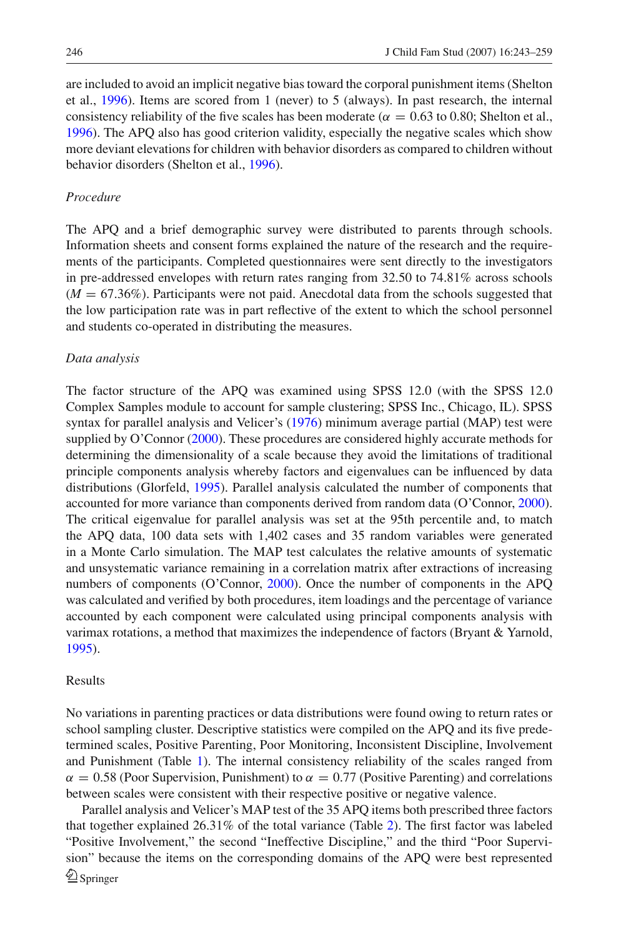are included to avoid an implicit negative bias toward the corporal punishment items (Shelton et al., [1996\)](#page-15-9). Items are scored from 1 (never) to 5 (always). In past research, the internal consistency reliability of the five scales has been moderate ( $\alpha = 0.63$  to 0.80; Shelton et al., [1996\)](#page-15-9). The APQ also has good criterion validity, especially the negative scales which show more deviant elevations for children with behavior disorders as compared to children without behavior disorders (Shelton et al., [1996\)](#page-15-9).

# *Procedure*

The APQ and a brief demographic survey were distributed to parents through schools. Information sheets and consent forms explained the nature of the research and the requirements of the participants. Completed questionnaires were sent directly to the investigators in pre-addressed envelopes with return rates ranging from 32.50 to 74.81% across schools  $(M = 67.36\%)$ . Participants were not paid. Anecdotal data from the schools suggested that the low participation rate was in part reflective of the extent to which the school personnel and students co-operated in distributing the measures.

## *Data analysis*

The factor structure of the APQ was examined using SPSS 12.0 (with the SPSS 12.0 Complex Samples module to account for sample clustering; SPSS Inc., Chicago, IL). SPSS syntax for parallel analysis and Velicer's [\(1976\)](#page-15-17) minimum average partial (MAP) test were supplied by O'Connor [\(2000\)](#page-15-18). These procedures are considered highly accurate methods for determining the dimensionality of a scale because they avoid the limitations of traditional principle components analysis whereby factors and eigenvalues can be influenced by data distributions (Glorfeld, [1995\)](#page-15-19). Parallel analysis calculated the number of components that accounted for more variance than components derived from random data (O'Connor, [2000\)](#page-15-18). The critical eigenvalue for parallel analysis was set at the 95th percentile and, to match the APQ data, 100 data sets with 1,402 cases and 35 random variables were generated in a Monte Carlo simulation. The MAP test calculates the relative amounts of systematic and unsystematic variance remaining in a correlation matrix after extractions of increasing numbers of components (O'Connor, [2000\)](#page-15-18). Once the number of components in the APQ was calculated and verified by both procedures, item loadings and the percentage of variance accounted by each component were calculated using principal components analysis with varimax rotations, a method that maximizes the independence of factors (Bryant  $\&$  Yarnold, [1995\)](#page-14-2).

## Results

No variations in parenting practices or data distributions were found owing to return rates or school sampling cluster. Descriptive statistics were compiled on the APQ and its five predetermined scales, Positive Parenting, Poor Monitoring, Inconsistent Discipline, Involvement and Punishment (Table [1\)](#page-4-0). The internal consistency reliability of the scales ranged from  $\alpha = 0.58$  (Poor Supervision, Punishment) to  $\alpha = 0.77$  (Positive Parenting) and correlations between scales were consistent with their respective positive or negative valence.

Parallel analysis and Velicer's MAP test of the 35 APQ items both prescribed three factors that together explained 26.31% of the total variance (Table [2\)](#page-5-0). The first factor was labeled "Positive Involvement," the second "Ineffective Discipline," and the third "Poor Supervision" because the items on the corresponding domains of the APQ were best represented  $\hat{Z}$  Springer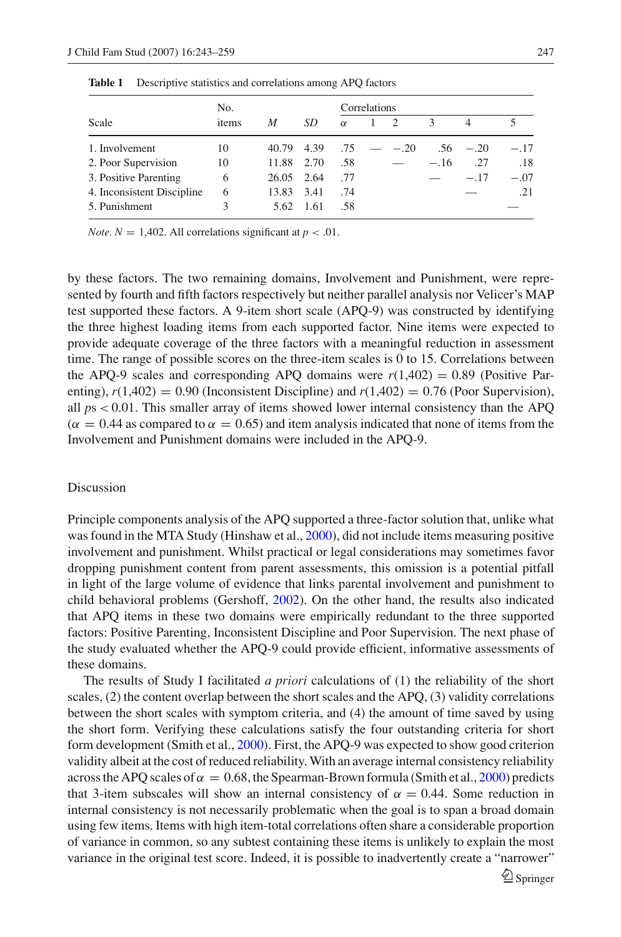|                            | No.   |            |      |          | Correlations |                          |               |                |        |
|----------------------------|-------|------------|------|----------|--------------|--------------------------|---------------|----------------|--------|
| Scale                      | items | M          | SD.  | $\alpha$ | $\mathbf{1}$ | 2                        | $\mathcal{R}$ | $\overline{4}$ |        |
| 1. Involvement             | 10    | 40.79      | 4.39 |          |              | $.75 \quad - -0.20$      |               | $.56 - .20$    | $-.17$ |
| 2. Poor Supervision        | 10    | 11.88      | 2.70 | .58      |              | $\overline{\phantom{a}}$ | $-.16$        | .27            | .18    |
| 3. Positive Parenting      | 6     | 26.05 2.64 |      | .77      |              |                          |               | $-.17$         | $-.07$ |
| 4. Inconsistent Discipline | 6     | 13.83      | 3.41 | .74      |              |                          |               |                | .21    |
| 5. Punishment              |       | 5.62       | 1.61 | .58      |              |                          |               |                |        |

<span id="page-4-0"></span>**Table 1** Descriptive statistics and correlations among APQ factors

*Note.*  $N = 1,402$ . All correlations significant at  $p < .01$ .

by these factors. The two remaining domains, Involvement and Punishment, were represented by fourth and fifth factors respectively but neither parallel analysis nor Velicer's MAP test supported these factors. A 9-item short scale (APQ-9) was constructed by identifying the three highest loading items from each supported factor. Nine items were expected to provide adequate coverage of the three factors with a meaningful reduction in assessment time. The range of possible scores on the three-item scales is 0 to 15. Correlations between the APQ-9 scales and corresponding APQ domains were  $r(1,402) = 0.89$  (Positive Parenting),  $r(1,402) = 0.90$  (Inconsistent Discipline) and  $r(1,402) = 0.76$  (Poor Supervision), all  $ps < 0.01$ . This smaller array of items showed lower internal consistency than the APQ  $(\alpha = 0.44$  as compared to  $\alpha = 0.65$ ) and item analysis indicated that none of items from the Involvement and Punishment domains were included in the APQ-9.

#### Discussion

Principle components analysis of the APQ supported a three-factor solution that, unlike what was found in the MTA Study (Hinshaw et al., [2000\)](#page-15-13), did not include items measuring positive involvement and punishment. Whilst practical or legal considerations may sometimes favor dropping punishment content from parent assessments, this omission is a potential pitfall in light of the large volume of evidence that links parental involvement and punishment to child behavioral problems (Gershoff, [2002\)](#page-15-20). On the other hand, the results also indicated that APQ items in these two domains were empirically redundant to the three supported factors: Positive Parenting, Inconsistent Discipline and Poor Supervision. The next phase of the study evaluated whether the APQ-9 could provide efficient, informative assessments of these domains.

The results of Study I facilitated *a priori* calculations of (1) the reliability of the short scales,  $(2)$  the content overlap between the short scales and the APQ,  $(3)$  validity correlations between the short scales with symptom criteria, and (4) the amount of time saved by using the short form. Verifying these calculations satisfy the four outstanding criteria for short form development (Smith et al., [2000\)](#page-15-16). First, the APQ-9 was expected to show good criterion validity albeit at the cost of reduced reliability. With an average internal consistency reliability across the APQ scales of  $\alpha = 0.68$ , the Spearman-Brown formula (Smith et al., [2000\)](#page-15-16) predicts that 3-item subscales will show an internal consistency of  $\alpha = 0.44$ . Some reduction in internal consistency is not necessarily problematic when the goal is to span a broad domain using few items. Items with high item-total correlations often share a considerable proportion of variance in common, so any subtest containing these items is unlikely to explain the most variance in the original test score. Indeed, it is possible to inadvertently create a "narrower"  $\mathcal{Q}$  Springer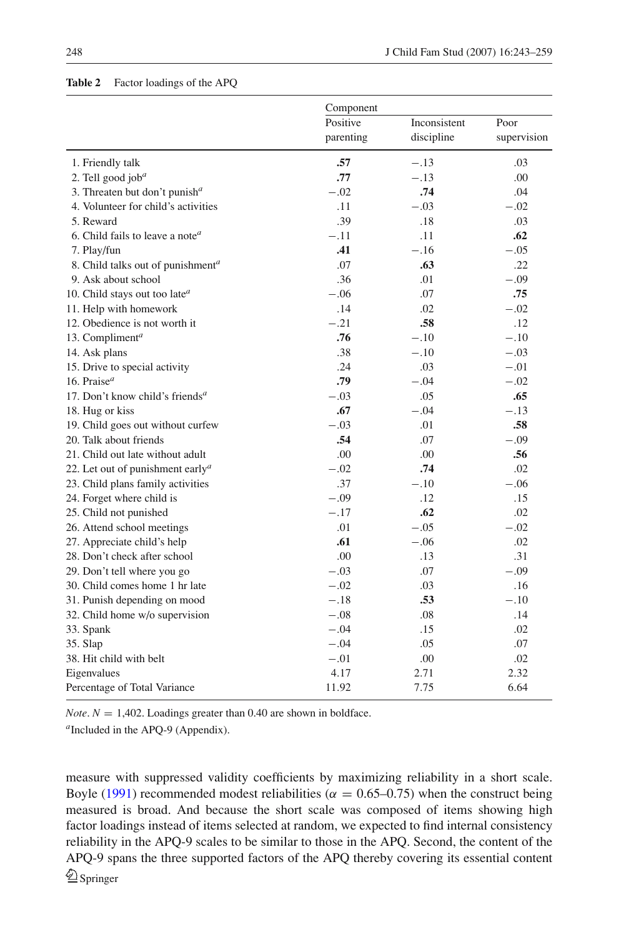#### <span id="page-5-0"></span>**Table 2** Factor loadings of the APQ

|                                                           | Component |              |             |  |  |
|-----------------------------------------------------------|-----------|--------------|-------------|--|--|
|                                                           | Positive  | Inconsistent | Poor        |  |  |
|                                                           | parenting | discipline   | supervision |  |  |
| 1. Friendly talk                                          | .57       | $-.13$       | .03         |  |  |
| 2. Tell good job <sup>a</sup>                             | .77       | $-.13$       | .00         |  |  |
| 3. Threaten but don't punish $a$                          | $-.02$    | .74          | .04         |  |  |
| 4. Volunteer for child's activities                       | .11       | $-.03$       | $-.02$      |  |  |
| 5. Reward                                                 | .39       | .18          | .03         |  |  |
| 6. Child fails to leave a note <sup><math>a</math></sup>  | $-.11$    | .11          | .62         |  |  |
| 7. Play/fun                                               | .41       | $-.16$       | $-.05$      |  |  |
| 8. Child talks out of punishment <sup>a</sup>             | .07       | .63          | .22         |  |  |
| 9. Ask about school                                       | .36       | .01          | $-.09$      |  |  |
| 10. Child stays out too late <sup>a</sup>                 | $-.06$    | .07          | .75         |  |  |
| 11. Help with homework                                    | .14       | .02          | $-.02$      |  |  |
| 12. Obedience is not worth it.                            | $-.21$    | .58          | .12         |  |  |
| 13. Compliment <sup>a</sup>                               | .76       | $-.10$       | $-.10$      |  |  |
| 14. Ask plans                                             | .38       | $-.10$       | $-.03$      |  |  |
| 15. Drive to special activity                             | .24       | .03          | $-.01$      |  |  |
| 16. Praise <sup><math>a</math></sup>                      | .79       | $-.04$       | $-.02$      |  |  |
| 17. Don't know child's friends <sup><i>a</i></sup>        | $-.03$    | .05          | .65         |  |  |
| 18. Hug or kiss                                           | .67       | $-.04$       | $-.13$      |  |  |
| 19. Child goes out without curfew                         | $-.03$    | .01          | .58         |  |  |
| 20. Talk about friends                                    | .54       | .07          | $-.09$      |  |  |
| 21. Child out late without adult                          | .00       | .00          | .56         |  |  |
| 22. Let out of punishment early <sup><math>a</math></sup> | $-.02$    | .74          | .02         |  |  |
| 23. Child plans family activities                         | .37       | $-.10$       | $-.06$      |  |  |
| 24. Forget where child is                                 | $-.09$    | .12          | .15         |  |  |
| 25. Child not punished                                    | $-.17$    | .62          | .02         |  |  |
| 26. Attend school meetings                                | .01       | $-.05$       | $-.02$      |  |  |
| 27. Appreciate child's help                               | .61       | $-.06$       | .02         |  |  |
| 28. Don't check after school                              | .00       | .13          | .31         |  |  |
| 29. Don't tell where you go                               | $-.03$    | .07          | $-.09$      |  |  |
| 30. Child comes home 1 hr late                            | $-.02$    | .03          | .16         |  |  |
| 31. Punish depending on mood                              | $-.18$    | .53          | $-.10$      |  |  |
| 32. Child home w/o supervision                            | $-.08$    | .08          | .14         |  |  |
| 33. Spank                                                 | $-.04$    | .15          | .02         |  |  |
| 35. Slap                                                  | $-.04$    | .05          | .07         |  |  |
| 38. Hit child with belt                                   | $-.01$    | .00          | .02         |  |  |
| Eigenvalues                                               | 4.17      | 2.71         | 2.32        |  |  |
| Percentage of Total Variance                              | 11.92     | 7.75         | 6.64        |  |  |

*Note*.  $N = 1,402$ . Loadings greater than 0.40 are shown in boldface.

*<sup>a</sup>*Included in the APQ-9 (Appendix).

measure with suppressed validity coefficients by maximizing reliability in a short scale. Boyle [\(1991\)](#page-14-3) recommended modest reliabilities ( $\alpha = 0.65 - 0.75$ ) when the construct being measured is broad. And because the short scale was composed of items showing high factor loadings instead of items selected at random, we expected to find internal consistency reliability in the APQ-9 scales to be similar to those in the APQ. Second, the content of the APQ-9 spans the three supported factors of the APQ thereby covering its essential content  $\mathcal{D}$  Springer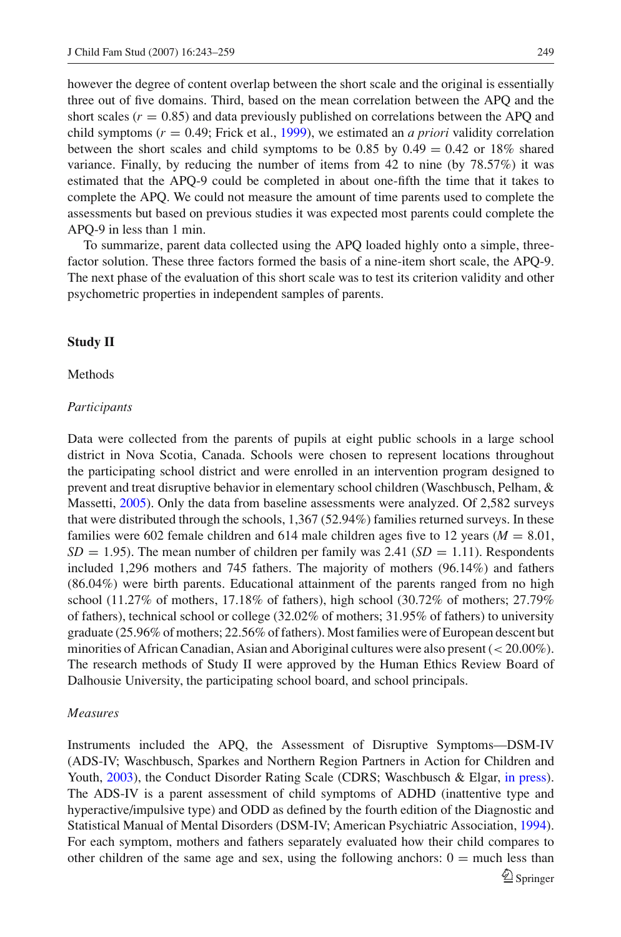however the degree of content overlap between the short scale and the original is essentially three out of five domains. Third, based on the mean correlation between the APQ and the short scales  $(r = 0.85)$  and data previously published on correlations between the APQ and child symptoms (*r* = 0.49; Frick et al., [1999\)](#page-15-11), we estimated an *a priori* validity correlation between the short scales and child symptoms to be 0.85 by  $0.49 = 0.42$  or 18% shared variance. Finally, by reducing the number of items from 42 to nine (by 78.57%) it was estimated that the APQ-9 could be completed in about one-fifth the time that it takes to complete the APQ. We could not measure the amount of time parents used to complete the assessments but based on previous studies it was expected most parents could complete the APQ-9 in less than 1 min.

To summarize, parent data collected using the APQ loaded highly onto a simple, threefactor solution. These three factors formed the basis of a nine-item short scale, the APQ-9. The next phase of the evaluation of this short scale was to test its criterion validity and other psychometric properties in independent samples of parents.

## **Study II**

## Methods

### *Participants*

Data were collected from the parents of pupils at eight public schools in a large school district in Nova Scotia, Canada. Schools were chosen to represent locations throughout the participating school district and were enrolled in an intervention program designed to prevent and treat disruptive behavior in elementary school children (Waschbusch, Pelham, & Massetti, [2005\)](#page-16-1). Only the data from baseline assessments were analyzed. Of 2,582 surveys that were distributed through the schools, 1,367 (52.94%) families returned surveys. In these families were 602 female children and 614 male children ages five to 12 years ( $M = 8.01$ ,  $SD = 1.95$ ). The mean number of children per family was 2.41 ( $SD = 1.11$ ). Respondents included 1,296 mothers and 745 fathers. The majority of mothers (96.14%) and fathers (86.04%) were birth parents. Educational attainment of the parents ranged from no high school  $(11.27\%$  of mothers,  $17.18\%$  of fathers), high school  $(30.72\%$  of mothers;  $27.79\%$ of fathers), technical school or college (32.02% of mothers; 31.95% of fathers) to university graduate (25.96% of mothers; 22.56% of fathers). Most families were of European descent but minorities of African Canadian, Asian and Aboriginal cultures were also present (< 20.00%). The research methods of Study II were approved by the Human Ethics Review Board of Dalhousie University, the participating school board, and school principals.

## *Measures*

Instruments included the APQ, the Assessment of Disruptive Symptoms—DSM-IV (ADS-IV; Waschbusch, Sparkes and Northern Region Partners in Action for Children and Youth, [2003\)](#page-16-2), the Conduct Disorder Rating Scale (CDRS; Waschbusch & Elgar, [in press\)](#page-15-21). The ADS-IV is a parent assessment of child symptoms of ADHD (inattentive type and hyperactive/impulsive type) and ODD as defined by the fourth edition of the Diagnostic and Statistical Manual of Mental Disorders (DSM-IV; American Psychiatric Association, [1994\)](#page-14-4). For each symptom, mothers and fathers separately evaluated how their child compares to other children of the same age and sex, using the following anchors:  $0 =$  much less than  $\mathcal{Q}$  Springer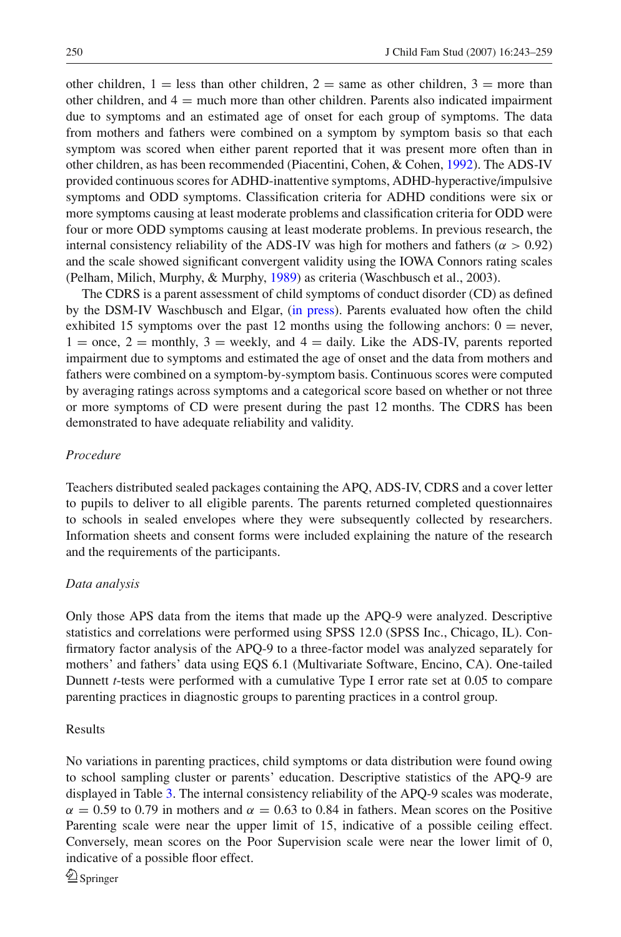other children,  $1 =$  less than other children,  $2 =$  same as other children,  $3 =$  more than other children, and  $4 =$  much more than other children. Parents also indicated impairment due to symptoms and an estimated age of onset for each group of symptoms. The data from mothers and fathers were combined on a symptom by symptom basis so that each symptom was scored when either parent reported that it was present more often than in other children, as has been recommended (Piacentini, Cohen, & Cohen, [1992\)](#page-15-22). The ADS-IV provided continuous scores for ADHD-inattentive symptoms, ADHD-hyperactive/impulsive symptoms and ODD symptoms. Classification criteria for ADHD conditions were six or more symptoms causing at least moderate problems and classification criteria for ODD were four or more ODD symptoms causing at least moderate problems. In previous research, the internal consistency reliability of the ADS-IV was high for mothers and fathers ( $\alpha > 0.92$ ) and the scale showed significant convergent validity using the IOWA Connors rating scales (Pelham, Milich, Murphy, & Murphy, [1989\)](#page-15-23) as criteria (Waschbusch et al., 2003).

The CDRS is a parent assessment of child symptoms of conduct disorder (CD) as defined by the DSM-IV Waschbusch and Elgar, [\(in press\)](#page-15-21). Parents evaluated how often the child exhibited 15 symptoms over the past 12 months using the following anchors:  $0 =$  never,  $1 =$  once,  $2 =$  monthly,  $3 =$  weekly, and  $4 =$  daily. Like the ADS-IV, parents reported impairment due to symptoms and estimated the age of onset and the data from mothers and fathers were combined on a symptom-by-symptom basis. Continuous scores were computed by averaging ratings across symptoms and a categorical score based on whether or not three or more symptoms of CD were present during the past 12 months. The CDRS has been demonstrated to have adequate reliability and validity.

## *Procedure*

Teachers distributed sealed packages containing the APQ, ADS-IV, CDRS and a cover letter to pupils to deliver to all eligible parents. The parents returned completed questionnaires to schools in sealed envelopes where they were subsequently collected by researchers. Information sheets and consent forms were included explaining the nature of the research and the requirements of the participants.

### *Data analysis*

Only those APS data from the items that made up the APQ-9 were analyzed. Descriptive statistics and correlations were performed using SPSS 12.0 (SPSS Inc., Chicago, IL). Confirmatory factor analysis of the APQ-9 to a three-factor model was analyzed separately for mothers' and fathers' data using EQS 6.1 (Multivariate Software, Encino, CA). One-tailed Dunnett *t*-tests were performed with a cumulative Type I error rate set at 0.05 to compare parenting practices in diagnostic groups to parenting practices in a control group.

# Results

No variations in parenting practices, child symptoms or data distribution were found owing to school sampling cluster or parents' education. Descriptive statistics of the APQ-9 are displayed in Table [3.](#page-8-0) The internal consistency reliability of the APQ-9 scales was moderate,  $\alpha = 0.59$  to 0.79 in mothers and  $\alpha = 0.63$  to 0.84 in fathers. Mean scores on the Positive Parenting scale were near the upper limit of 15, indicative of a possible ceiling effect. Conversely, mean scores on the Poor Supervision scale were near the lower limit of 0, indicative of a possible floor effect.

 $\mathcal{Q}_{\text{Springer}}$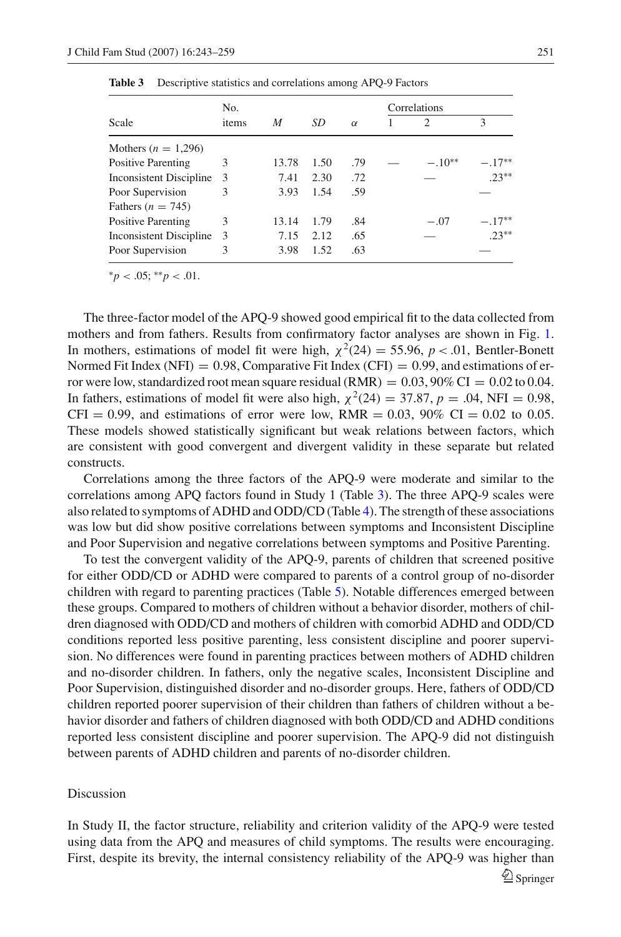<span id="page-8-0"></span>

|                                | No.   |       |      |          | Correlations   |          |  |
|--------------------------------|-------|-------|------|----------|----------------|----------|--|
| Scale                          | items | M     | SD   | $\alpha$ | $\mathfrak{D}$ | 3        |  |
| Mothers ( $n = 1,296$ )        |       |       |      |          |                |          |  |
| <b>Positive Parenting</b>      | 3     | 13.78 | 1.50 | .79      | $-10^{**}$     | $-.17**$ |  |
| <b>Inconsistent Discipline</b> | 3     | 7.41  | 2.30 | .72      |                | $.23**$  |  |
| Poor Supervision               | 3     | 3.93  | 1.54 | .59      |                |          |  |
| Fathers $(n = 745)$            |       |       |      |          |                |          |  |
| Positive Parenting             | 3     | 13.14 | 1.79 | .84      | $-.07$         | $-.17**$ |  |
| <b>Inconsistent Discipline</b> | 3     | 7.15  | 2.12 | .65      |                | $.23**$  |  |
| Poor Supervision               | 3     | 3.98  | 1.52 | .63      |                |          |  |

**Table 3** Descriptive statistics and correlations among APQ-9 Factors

 $**p* < .05; ***p* < .01$ .

The three-factor model of the APQ-9 showed good empirical fit to the data collected from mothers and from fathers. Results from confirmatory factor analyses are shown in Fig. [1.](#page-9-0) In mothers, estimations of model fit were high,  $\chi^2(24) = 55.96$ ,  $p < .01$ , Bentler-Bonett Normed Fit Index (NFI) =  $0.98$ , Comparative Fit Index (CFI) =  $0.99$ , and estimations of error were low, standardized root mean square residual  $(RMR) = 0.03$ , 90% CI = 0.02 to 0.04. In fathers, estimations of model fit were also high,  $\chi^2(24) = 37.87$ ,  $p = .04$ , NFI = 0.98,  $CFI = 0.99$ , and estimations of error were low, RMR = 0.03, 90% CI = 0.02 to 0.05. These models showed statistically significant but weak relations between factors, which are consistent with good convergent and divergent validity in these separate but related constructs.

Correlations among the three factors of the APQ-9 were moderate and similar to the correlations among APQ factors found in Study 1 (Table [3\)](#page-8-0). The three APQ-9 scales were also related to symptoms of ADHD and ODD/CD (Table [4\)](#page-10-0). The strength of these associations was low but did show positive correlations between symptoms and Inconsistent Discipline and Poor Supervision and negative correlations between symptoms and Positive Parenting.

To test the convergent validity of the APQ-9, parents of children that screened positive for either ODD/CD or ADHD were compared to parents of a control group of no-disorder children with regard to parenting practices (Table [5\)](#page-10-1). Notable differences emerged between these groups. Compared to mothers of children without a behavior disorder, mothers of children diagnosed with ODD/CD and mothers of children with comorbid ADHD and ODD/CD conditions reported less positive parenting, less consistent discipline and poorer supervision. No differences were found in parenting practices between mothers of ADHD children and no-disorder children. In fathers, only the negative scales, Inconsistent Discipline and Poor Supervision, distinguished disorder and no-disorder groups. Here, fathers of ODD/CD children reported poorer supervision of their children than fathers of children without a behavior disorder and fathers of children diagnosed with both ODD/CD and ADHD conditions reported less consistent discipline and poorer supervision. The APQ-9 did not distinguish between parents of ADHD children and parents of no-disorder children.

## Discussion

In Study II, the factor structure, reliability and criterion validity of the APQ-9 were tested using data from the APQ and measures of child symptoms. The results were encouraging. First, despite its brevity, the internal consistency reliability of the APQ-9 was higher than  $\mathcal{Q}$  Springer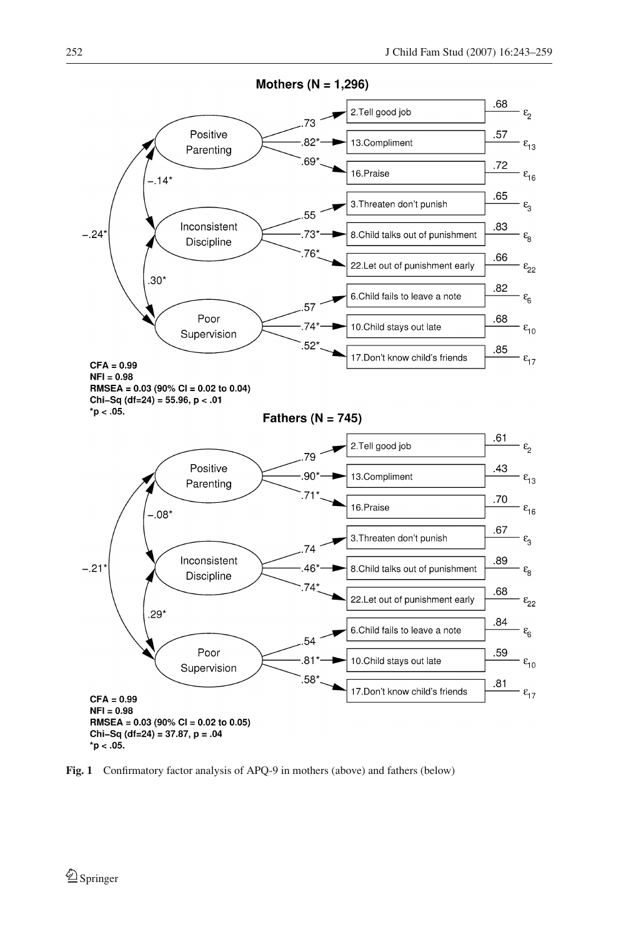<span id="page-9-0"></span>

**Fig. 1** Confirmatory factor analysis of APQ-9 in mothers (above) and fathers (below)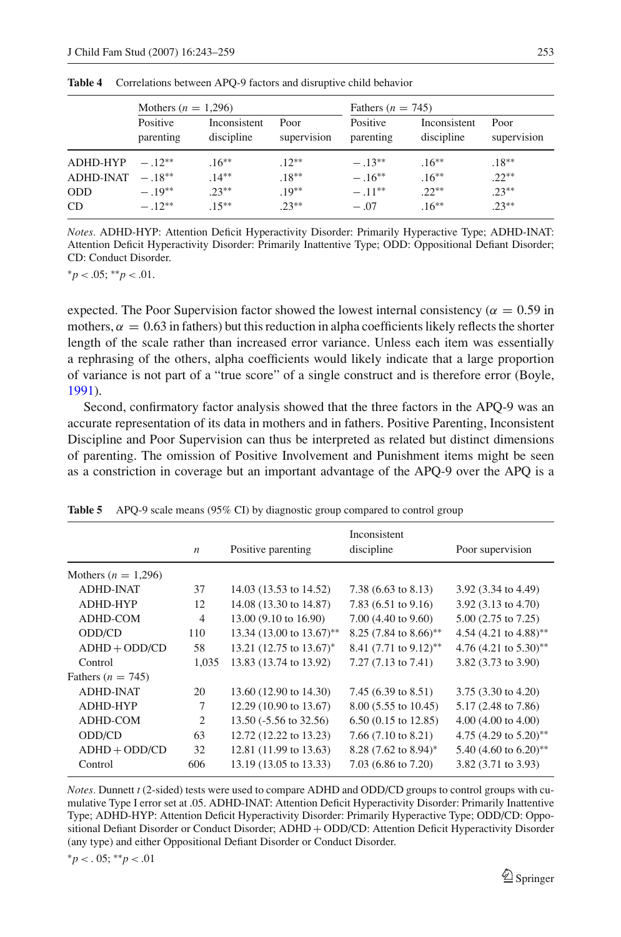|            | Mothers ( $n = 1,296$ ) |                            |                     | Fathers $(n = 745)$   |                            |                     |  |
|------------|-------------------------|----------------------------|---------------------|-----------------------|----------------------------|---------------------|--|
|            | Positive<br>parenting   | Inconsistent<br>discipline | Poor<br>supervision | Positive<br>parenting | Inconsistent<br>discipline | Poor<br>supervision |  |
| ADHD-HYP   | $-12**$                 | $.16***$                   | $.12***$            | $-13**$               | $.16***$                   | $.18***$            |  |
| ADHD-INAT  | $-18**$                 | $.14**$                    | $.18**$             | $-.16**$              | $.16**$                    | $.22**$             |  |
| <b>ODD</b> | $-.19**$                | $.23**$                    | $.19***$            | $-.11***$             | $.22**$                    | $.23***$            |  |
| CD         | $-12**$                 | $.15***$                   | $.23**$             | $-.07$                | $.16***$                   | $.23**$             |  |

<span id="page-10-0"></span>**Table 4** Correlations between APQ-9 factors and disruptive child behavior

*Notes.* ADHD-HYP: Attention Deficit Hyperactivity Disorder: Primarily Hyperactive Type; ADHD-INAT: Attention Deficit Hyperactivity Disorder: Primarily Inattentive Type; ODD: Oppositional Defiant Disorder; CD: Conduct Disorder.

<sup>∗</sup>*p* < .05; ∗∗*p* < .01.

expected. The Poor Supervision factor showed the lowest internal consistency ( $\alpha = 0.59$  in mothers,  $\alpha = 0.63$  in fathers) but this reduction in alpha coefficients likely reflects the shorter length of the scale rather than increased error variance. Unless each item was essentially a rephrasing of the others, alpha coefficients would likely indicate that a large proportion of variance is not part of a "true score" of a single construct and is therefore error (Boyle, [1991\)](#page-14-3).

Second, confirmatory factor analysis showed that the three factors in the APQ-9 was an accurate representation of its data in mothers and in fathers. Positive Parenting, Inconsistent Discipline and Poor Supervision can thus be interpreted as related but distinct dimensions of parenting. The omission of Positive Involvement and Punishment items might be seen as a constriction in coverage but an important advantage of the APQ-9 over the APQ is a

<span id="page-10-1"></span>

|                         | $\boldsymbol{n}$ | Positive parenting          | Inconsistent<br>discipline          | Poor supervision                    |
|-------------------------|------------------|-----------------------------|-------------------------------------|-------------------------------------|
| Mothers ( $n = 1,296$ ) |                  |                             |                                     |                                     |
| <b>ADHD-INAT</b>        | 37               | 14.03 (13.53 to 14.52)      | 7.38 (6.63 to 8.13)                 | 3.92 (3.34 to 4.49)                 |
| ADHD-HYP                | 12               | 14.08 (13.30 to 14.87)      | 7.83 $(6.51 \text{ to } 9.16)$      | $3.92$ (3.13 to 4.70)               |
| ADHD-COM                | $\overline{4}$   | 13.00 (9.10 to 16.90)       | $7.00$ (4.40 to 9.60)               | $5.00$ (2.75 to 7.25)               |
| ODD/CD                  | 110              | 13.34 (13.00 to 13.67)**    | 8.25 (7.84 to 8.66)**               | 4.54 $(4.21 \text{ to } 4.88)$ **   |
| $ADHD + ODD/CD$         | 58               | 13.21 (12.75 to 13.67)*     | 8.41 $(7.71 \text{ to } 9.12)^{**}$ | 4.76 $(4.21 \text{ to } 5.30)^{**}$ |
| Control                 | 1,035            | 13.83 (13.74 to 13.92)      | $7.27(7.13 \text{ to } 7.41)$       | 3.82 (3.73 to 3.90)                 |
| Fathers ( $n = 745$ )   |                  |                             |                                     |                                     |
| <b>ADHD-INAT</b>        | 20               | 13.60 (12.90 to 14.30)      | 7.45 $(6.39 \text{ to } 8.51)$      | $3.75(3.30 \text{ to } 4.20)$       |
| ADHD-HYP                | 7                | 12.29 (10.90 to 13.67)      | 8.00 (5.55 to 10.45)                | 5.17 (2.48 to 7.86)                 |
| ADHD-COM                | 2                | $13.50$ ( $-5.56$ to 32.56) | $6.50(0.15 \text{ to } 12.85)$      | 4.00(4.00 to 4.00)                  |
| ODD/CD                  | 63               | 12.72 (12.22 to 13.23)      | $7.66(7.10 \text{ to } 8.21)$       | 4.75 (4.29 to $5.20$ )**            |
| $ADHD + ODD/CD$         | 32               | 12.81 (11.99 to 13.63)      | 8.28 (7.62 to 8.94)*                | 5.40 (4.60 to 6.20)**               |
| Control                 | 606              | 13.19 (13.05 to 13.33)      | 7.03 (6.86 to 7.20)                 | 3.82 (3.71 to 3.93)                 |

**Table 5** APQ-9 scale means (95% CI) by diagnostic group compared to control group

*Notes.* Dunnett *t* (2-sided) tests were used to compare ADHD and ODD/CD groups to control groups with cumulative Type I error set at .05. ADHD-INAT: Attention Deficit Hyperactivity Disorder: Primarily Inattentive Type; ADHD-HYP: Attention Deficit Hyperactivity Disorder: Primarily Hyperactive Type; ODD/CD: Oppositional Defiant Disorder or Conduct Disorder; ADHD + ODD/CD: Attention Deficit Hyperactivity Disorder (any type) and either Oppositional Defiant Disorder or Conduct Disorder.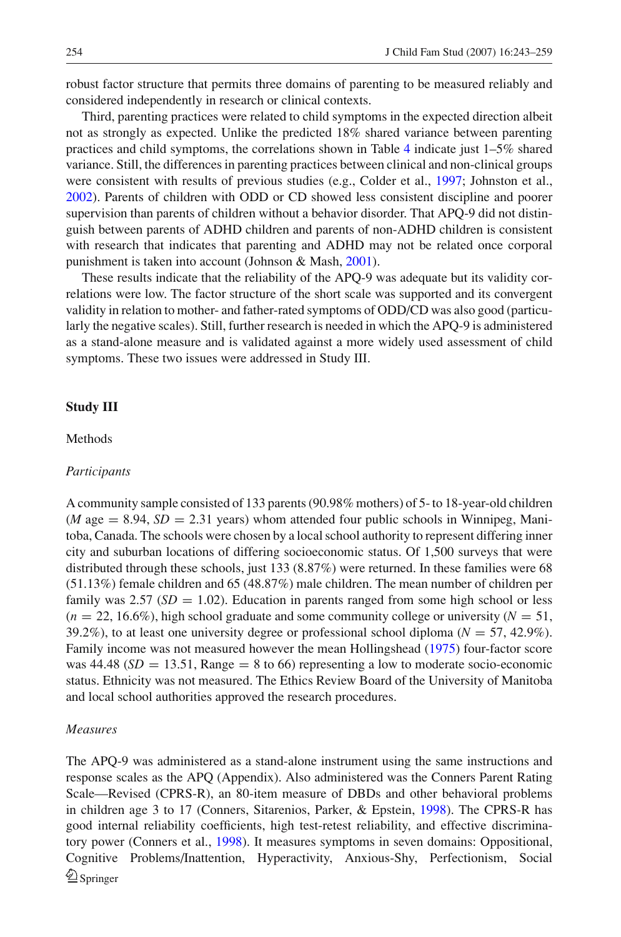robust factor structure that permits three domains of parenting to be measured reliably and considered independently in research or clinical contexts.

Third, parenting practices were related to child symptoms in the expected direction albeit not as strongly as expected. Unlike the predicted 18% shared variance between parenting practices and child symptoms, the correlations shown in Table [4](#page-10-0) indicate just 1–5% shared variance. Still, the differences in parenting practices between clinical and non-clinical groups were consistent with results of previous studies (e.g., Colder et al., [1997;](#page-15-12) Johnston et al., [2002\)](#page-15-14). Parents of children with ODD or CD showed less consistent discipline and poorer supervision than parents of children without a behavior disorder. That APQ-9 did not distinguish between parents of ADHD children and parents of non-ADHD children is consistent with research that indicates that parenting and ADHD may not be related once corporal punishment is taken into account (Johnson & Mash, [2001\)](#page-15-24).

These results indicate that the reliability of the APQ-9 was adequate but its validity correlations were low. The factor structure of the short scale was supported and its convergent validity in relation to mother- and father-rated symptoms of ODD/CD was also good (particularly the negative scales). Still, further research is needed in which the APQ-9 is administered as a stand-alone measure and is validated against a more widely used assessment of child symptoms. These two issues were addressed in Study III.

## **Study III**

## Methods

#### *Participants*

A community sample consisted of 133 parents (90.98% mothers) of 5- to 18-year-old children  $(M \text{ age} = 8.94, SD = 2.31 \text{ years})$  whom attended four public schools in Winnipeg, Manitoba, Canada. The schools were chosen by a local school authority to represent differing inner city and suburban locations of differing socioeconomic status. Of 1,500 surveys that were distributed through these schools, just 133 (8.87%) were returned. In these families were 68 (51.13%) female children and 65 (48.87%) male children. The mean number of children per family was  $2.57$  ( $SD = 1.02$ ). Education in parents ranged from some high school or less  $(n = 22, 16.6\%)$ , high school graduate and some community college or university  $(N = 51,$ 39.2%), to at least one university degree or professional school diploma ( $N = 57, 42.9\%$ ). Family income was not measured however the mean Hollingshead [\(1975\)](#page-15-25) four-factor score was  $44.48$  (*SD* = 13.51, Range = 8 to 66) representing a low to moderate socio-economic status. Ethnicity was not measured. The Ethics Review Board of the University of Manitoba and local school authorities approved the research procedures.

## *Measures*

The APQ-9 was administered as a stand-alone instrument using the same instructions and response scales as the APQ (Appendix). Also administered was the Conners Parent Rating Scale—Revised (CPRS-R), an 80-item measure of DBDs and other behavioral problems in children age 3 to 17 (Conners, Sitarenios, Parker, & Epstein, [1998\)](#page-15-26). The CPRS-R has good internal reliability coefficients, high test-retest reliability, and effective discriminatory power (Conners et al., [1998\)](#page-15-26). It measures symptoms in seven domains: Oppositional, Cognitive Problems/Inattention, Hyperactivity, Anxious-Shy, Perfectionism, Social  $\mathcal{Q}_{\text{Springer}}$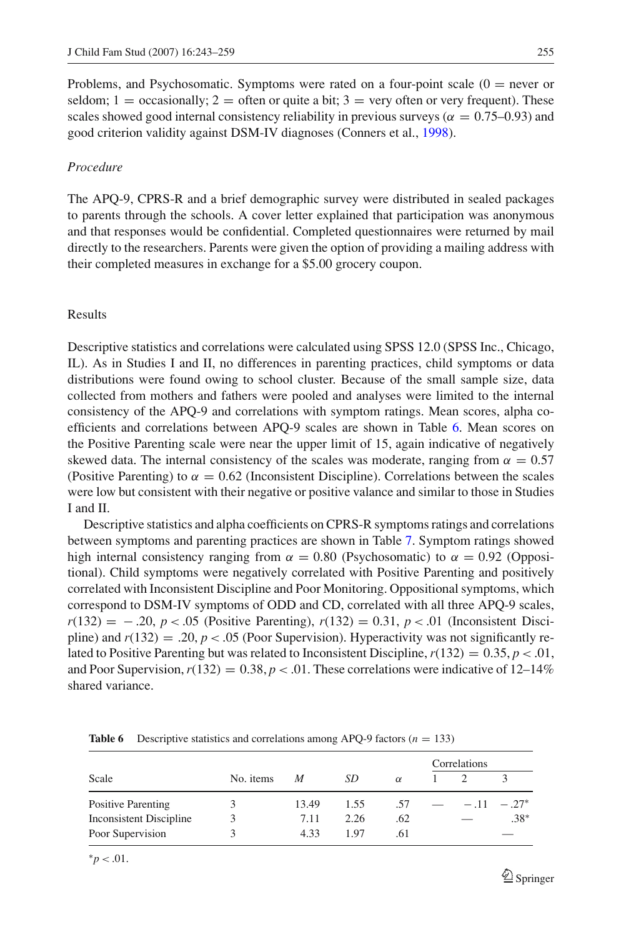Problems, and Psychosomatic. Symptoms were rated on a four-point scale  $(0 =$  never or seldom;  $1 =$  occasionally;  $2 =$  often or quite a bit;  $3 =$  very often or very frequent). These scales showed good internal consistency reliability in previous surveys ( $\alpha = 0.75{\text -}0.93$ ) and good criterion validity against DSM-IV diagnoses (Conners et al., [1998\)](#page-15-26).

# *Procedure*

The APQ-9, CPRS-R and a brief demographic survey were distributed in sealed packages to parents through the schools. A cover letter explained that participation was anonymous and that responses would be confidential. Completed questionnaires were returned by mail directly to the researchers. Parents were given the option of providing a mailing address with their completed measures in exchange for a \$5.00 grocery coupon.

## Results

Descriptive statistics and correlations were calculated using SPSS 12.0 (SPSS Inc., Chicago, IL). As in Studies I and II, no differences in parenting practices, child symptoms or data distributions were found owing to school cluster. Because of the small sample size, data collected from mothers and fathers were pooled and analyses were limited to the internal consistency of the APQ-9 and correlations with symptom ratings. Mean scores, alpha coefficients and correlations between APQ-9 scales are shown in Table [6.](#page-12-0) Mean scores on the Positive Parenting scale were near the upper limit of 15, again indicative of negatively skewed data. The internal consistency of the scales was moderate, ranging from  $\alpha = 0.57$ (Positive Parenting) to  $\alpha = 0.62$  (Inconsistent Discipline). Correlations between the scales were low but consistent with their negative or positive valance and similar to those in Studies I and II.

Descriptive statistics and alpha coefficients on CPRS-R symptoms ratings and correlations between symptoms and parenting practices are shown in Table [7.](#page-13-0) Symptom ratings showed high internal consistency ranging from  $\alpha = 0.80$  (Psychosomatic) to  $\alpha = 0.92$  (Oppositional). Child symptoms were negatively correlated with Positive Parenting and positively correlated with Inconsistent Discipline and Poor Monitoring. Oppositional symptoms, which correspond to DSM-IV symptoms of ODD and CD, correlated with all three APQ-9 scales, *r*(132) = −.20, *p* <.05 (Positive Parenting), *r*(132) = 0.31, *p* <.01 (Inconsistent Discipline) and  $r(132) = .20$ ,  $p < .05$  (Poor Supervision). Hyperactivity was not significantly related to Positive Parenting but was related to Inconsistent Discipline,  $r(132) = 0.35$ ,  $p < .01$ , and Poor Supervision,  $r(132) = 0.38$ ,  $p < 0.01$ . These correlations were indicative of  $12{\text -}14\%$ shared variance.

**Table 6** Descriptive statistics and correlations among APQ-9 factors  $(n = 133)$ 

<span id="page-12-0"></span>

|                                |                  |       |      |          | Correlations |  |               |
|--------------------------------|------------------|-------|------|----------|--------------|--|---------------|
| Scale                          | No. <i>items</i> | M     | SD   | $\alpha$ |              |  |               |
| Positive Parenting             | 3                | 13.49 | 1.55 | .57      |              |  | $-.11 - .27*$ |
| <b>Inconsistent Discipline</b> |                  | 7.11  | 2.26 | .62      |              |  | $.38*$        |
| Poor Supervision               | 3                | 4.33  | 197  | .61      |              |  |               |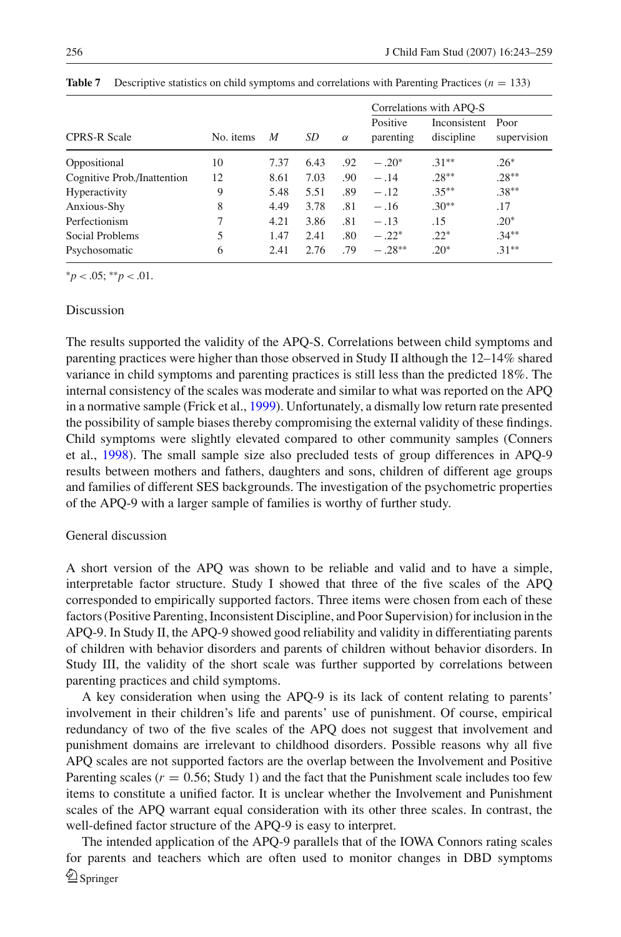|                             |                  |      |      |          |                       | Correlations with APO-S    |                     |  |
|-----------------------------|------------------|------|------|----------|-----------------------|----------------------------|---------------------|--|
| <b>CPRS-R Scale</b>         | No. <i>items</i> | M    | SD   | $\alpha$ | Positive<br>parenting | Inconsistent<br>discipline | Poor<br>supervision |  |
| Oppositional                | 10               | 7.37 | 6.43 | .92      | $-.20*$               | $.31***$                   | $.26*$              |  |
| Cognitive Prob./Inattention | 12               | 8.61 | 7.03 | .90      | $-.14$                | $.28**$                    | $.28**$             |  |
| Hyperactivity               | 9                | 5.48 | 5.51 | .89      | $-.12$                | $.35***$                   | $.38**$             |  |
| Anxious-Shy                 | 8                | 4.49 | 3.78 | .81      | $-.16$                | $.30**$                    | .17                 |  |
| Perfectionism               |                  | 4.21 | 3.86 | .81      | $-.13$                | .15                        | $.20*$              |  |
| Social Problems             | 5                | 1.47 | 2.41 | .80      | $-.22*$               | $.22*$                     | $.34***$            |  |
| Psychosomatic               | 6                | 2.41 | 2.76 | .79      | $-.28**$              | $.20*$                     | $.31***$            |  |

<span id="page-13-0"></span>**Table 7** Descriptive statistics on child symptoms and correlations with Parenting Practices ( $n = 133$ )

<sup>∗</sup>*p* < .05; ∗∗*p* < .01.

## Discussion

The results supported the validity of the APQ-S. Correlations between child symptoms and parenting practices were higher than those observed in Study II although the 12–14% shared variance in child symptoms and parenting practices is still less than the predicted 18%. The internal consistency of the scales was moderate and similar to what was reported on the APQ in a normative sample (Frick et al., [1999\)](#page-15-11). Unfortunately, a dismally low return rate presented the possibility of sample biases thereby compromising the external validity of these findings. Child symptoms were slightly elevated compared to other community samples (Conners et al., [1998\)](#page-15-26). The small sample size also precluded tests of group differences in APQ-9 results between mothers and fathers, daughters and sons, children of different age groups and families of different SES backgrounds. The investigation of the psychometric properties of the APQ-9 with a larger sample of families is worthy of further study.

## General discussion

A short version of the APQ was shown to be reliable and valid and to have a simple, interpretable factor structure. Study I showed that three of the five scales of the APQ corresponded to empirically supported factors. Three items were chosen from each of these factors (Positive Parenting, Inconsistent Discipline, and Poor Supervision) for inclusion in the APQ-9. In Study II, the APQ-9 showed good reliability and validity in differentiating parents of children with behavior disorders and parents of children without behavior disorders. In Study III, the validity of the short scale was further supported by correlations between parenting practices and child symptoms.

A key consideration when using the APQ-9 is its lack of content relating to parents' involvement in their children's life and parents' use of punishment. Of course, empirical redundancy of two of the five scales of the APQ does not suggest that involvement and punishment domains are irrelevant to childhood disorders. Possible reasons why all five APQ scales are not supported factors are the overlap between the Involvement and Positive Parenting scales  $(r = 0.56;$  Study 1) and the fact that the Punishment scale includes too few items to constitute a unified factor. It is unclear whether the Involvement and Punishment scales of the APQ warrant equal consideration with its other three scales. In contrast, the well-defined factor structure of the APQ-9 is easy to interpret.

The intended application of the APQ-9 parallels that of the IOWA Connors rating scales for parents and teachers which are often used to monitor changes in DBD symptoms  $\bigcirc$  Springer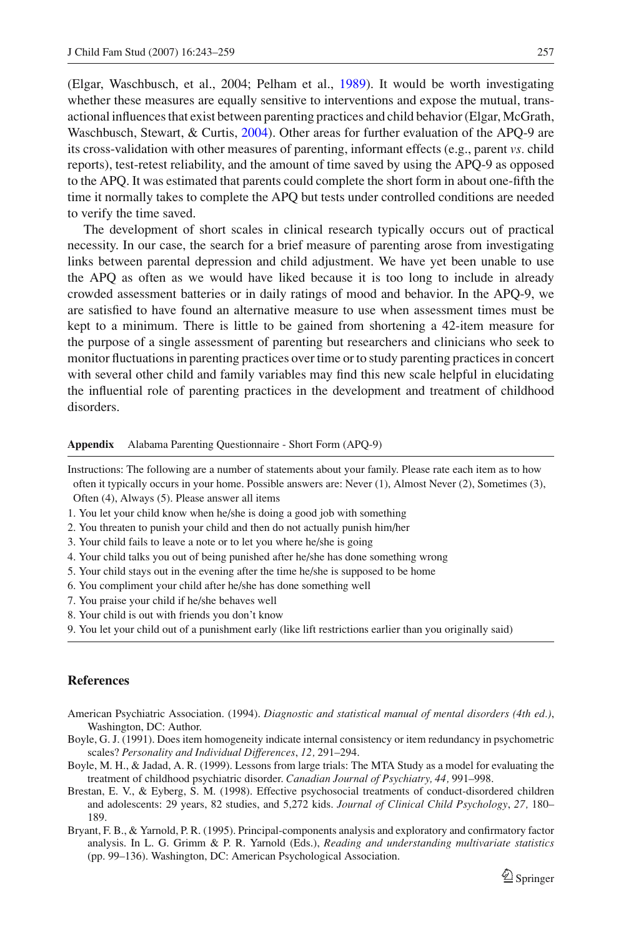(Elgar, Waschbusch, et al., 2004; Pelham et al., [1989\)](#page-15-23). It would be worth investigating whether these measures are equally sensitive to interventions and expose the mutual, transactional influences that exist between parenting practices and child behavior (Elgar, McGrath, Waschbusch, Stewart, & Curtis, [2004\)](#page-15-27). Other areas for further evaluation of the APQ-9 are its cross-validation with other measures of parenting, informant effects (e.g., parent *vs.* child reports), test-retest reliability, and the amount of time saved by using the APQ-9 as opposed to the APQ. It was estimated that parents could complete the short form in about one-fifth the time it normally takes to complete the APQ but tests under controlled conditions are needed to verify the time saved.

The development of short scales in clinical research typically occurs out of practical necessity. In our case, the search for a brief measure of parenting arose from investigating links between parental depression and child adjustment. We have yet been unable to use the APQ as often as we would have liked because it is too long to include in already crowded assessment batteries or in daily ratings of mood and behavior. In the APQ-9, we are satisfied to have found an alternative measure to use when assessment times must be kept to a minimum. There is little to be gained from shortening a 42-item measure for the purpose of a single assessment of parenting but researchers and clinicians who seek to monitor fluctuations in parenting practices over time or to study parenting practices in concert with several other child and family variables may find this new scale helpful in elucidating the influential role of parenting practices in the development and treatment of childhood disorders.

#### **Appendix** Alabama Parenting Questionnaire - Short Form (APQ-9)

- Instructions: The following are a number of statements about your family. Please rate each item as to how often it typically occurs in your home. Possible answers are: Never (1), Almost Never (2), Sometimes (3), Often (4), Always (5). Please answer all items
- 1. You let your child know when he/she is doing a good job with something
- 2. You threaten to punish your child and then do not actually punish him/her
- 3. Your child fails to leave a note or to let you where he/she is going
- 4. Your child talks you out of being punished after he/she has done something wrong
- 5. Your child stays out in the evening after the time he/she is supposed to be home
- 6. You compliment your child after he/she has done something well
- 7. You praise your child if he/she behaves well
- 8. Your child is out with friends you don't know
- 9. You let your child out of a punishment early (like lift restrictions earlier than you originally said)

## **References**

- American Psychiatric Association. (1994). *Diagnostic and statistical manual of mental disorders (4th ed.)*, Washington, DC: Author.
- <span id="page-14-4"></span>Boyle, G. J. (1991). Does item homogeneity indicate internal consistency or item redundancy in psychometric scales? *Personality and Individual Differences*, *12,* 291–294.
- <span id="page-14-3"></span>Boyle, M. H., & Jadad, A. R. (1999). Lessons from large trials: The MTA Study as a model for evaluating the treatment of childhood psychiatric disorder. *Canadian Journal of Psychiatry, 44,* 991–998.
- <span id="page-14-1"></span>Brestan, E. V., & Eyberg, S. M. (1998). Effective psychosocial treatments of conduct-disordered children and adolescents: 29 years, 82 studies, and 5,272 kids. *Journal of Clinical Child Psychology*, *27,* 180– 189.
- <span id="page-14-2"></span><span id="page-14-0"></span>Bryant, F. B., & Yarnold, P. R. (1995). Principal-components analysis and exploratory and confirmatory factor analysis. In L. G. Grimm & P. R. Yarnold (Eds.), *Reading and understanding multivariate statistics* (pp. 99–136). Washington, DC: American Psychological Association.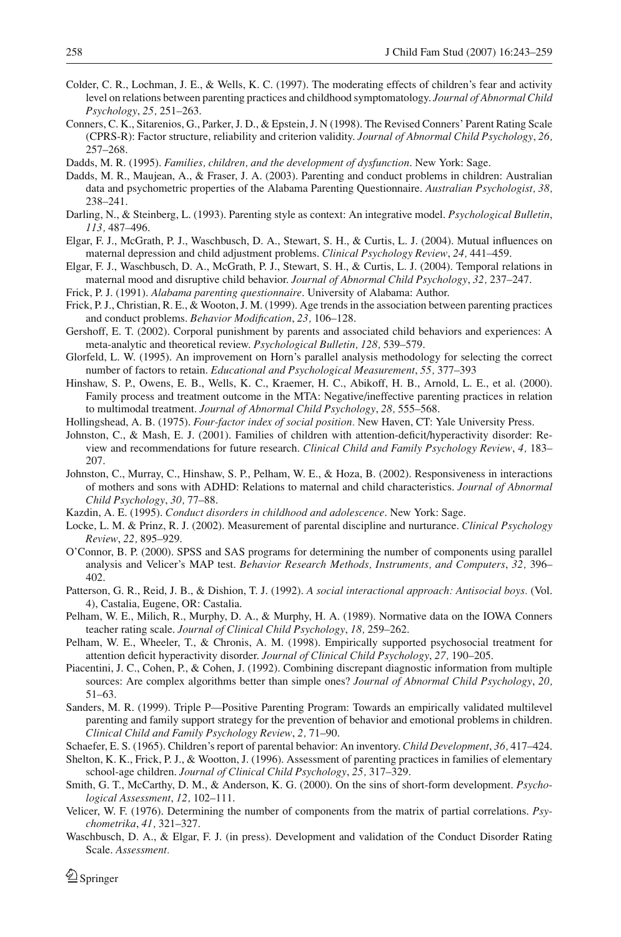- Colder, C. R., Lochman, J. E., & Wells, K. C. (1997). The moderating effects of children's fear and activity level on relations between parenting practices and childhood symptomatology. *Journal of Abnormal Child Psychology*, *25,* 251–263.
- <span id="page-15-12"></span>Conners, C. K., Sitarenios, G., Parker, J. D., & Epstein, J. N (1998). The Revised Conners' Parent Rating Scale (CPRS-R): Factor structure, reliability and criterion validity. *Journal of Abnormal Child Psychology*, *26,* 257–268.
- <span id="page-15-26"></span>Dadds, M. R. (1995). *Families, children, and the development of dysfunction*. New York: Sage.
- <span id="page-15-0"></span>Dadds, M. R., Maujean, A., & Fraser, J. A. (2003). Parenting and conduct problems in children: Australian data and psychometric properties of the Alabama Parenting Questionnaire. *Australian Psychologist, 38,* 238–241.
- <span id="page-15-10"></span>Darling, N., & Steinberg, L. (1993). Parenting style as context: An integrative model. *Psychological Bulletin*, *113,* 487–496.
- <span id="page-15-5"></span>Elgar, F. J., McGrath, P. J., Waschbusch, D. A., Stewart, S. H., & Curtis, L. J. (2004). Mutual influences on maternal depression and child adjustment problems. *Clinical Psychology Review*, *24,* 441–459.
- <span id="page-15-27"></span>Elgar, F. J., Waschbusch, D. A., McGrath, P. J., Stewart, S. H., & Curtis, L. J. (2004). Temporal relations in maternal mood and disruptive child behavior. *Journal of Abnormal Child Psychology*, *32,* 237–247.
- <span id="page-15-15"></span><span id="page-15-8"></span>Frick, P. J. (1991). *Alabama parenting questionnaire*. University of Alabama: Author.
- Frick, P. J., Christian, R. E., & Wooton, J. M. (1999). Age trends in the association between parenting practices and conduct problems. *Behavior Modification*, *23,* 106–128.
- <span id="page-15-11"></span>Gershoff, E. T. (2002). Corporal punishment by parents and associated child behaviors and experiences: A meta-analytic and theoretical review. *Psychological Bulletin, 128,* 539–579.
- <span id="page-15-20"></span>Glorfeld, L. W. (1995). An improvement on Horn's parallel analysis methodology for selecting the correct number of factors to retain. *Educational and Psychological Measurement*, *55,* 377–393
- <span id="page-15-19"></span>Hinshaw, S. P., Owens, E. B., Wells, K. C., Kraemer, H. C., Abikoff, H. B., Arnold, L. E., et al. (2000). Family process and treatment outcome in the MTA: Negative/ineffective parenting practices in relation to multimodal treatment. *Journal of Abnormal Child Psychology*, *28,* 555–568.
- <span id="page-15-13"></span>Hollingshead, A. B. (1975). *Four-factor index of social position.* New Haven, CT: Yale University Press.
- <span id="page-15-25"></span>Johnston, C., & Mash, E. J. (2001). Families of children with attention-deficit/hyperactivity disorder: Review and recommendations for future research. *Clinical Child and Family Psychology Review*, *4,* 183– 207.
- <span id="page-15-24"></span>Johnston, C., Murray, C., Hinshaw, S. P., Pelham, W. E., & Hoza, B. (2002). Responsiveness in interactions of mothers and sons with ADHD: Relations to maternal and child characteristics. *Journal of Abnormal Child Psychology*, *30,* 77–88.
- <span id="page-15-14"></span>Kazdin, A. E. (1995). *Conduct disorders in childhood and adolescence*. New York: Sage.
- <span id="page-15-2"></span>Locke, L. M. & Prinz, R. J. (2002). Measurement of parental discipline and nurturance. *Clinical Psychology Review*, *22,* 895–929.
- <span id="page-15-6"></span>O'Connor, B. P. (2000). SPSS and SAS programs for determining the number of components using parallel analysis and Velicer's MAP test. *Behavior Research Methods, Instruments, and Computers*, *32,* 396– 402.
- <span id="page-15-18"></span>Patterson, G. R., Reid, J. B., & Dishion, T. J. (1992). *A social interactional approach: Antisocial boys.* (Vol. 4), Castalia, Eugene, OR: Castalia.
- <span id="page-15-1"></span>Pelham, W. E., Milich, R., Murphy, D. A., & Murphy, H. A. (1989). Normative data on the IOWA Conners teacher rating scale. *Journal of Clinical Child Psychology*, *18,* 259–262.
- <span id="page-15-23"></span>Pelham, W. E., Wheeler, T., & Chronis, A. M. (1998). Empirically supported psychosocial treatment for attention deficit hyperactivity disorder. *Journal of Clinical Child Psychology*, *27,* 190–205.
- <span id="page-15-3"></span>Piacentini, J. C., Cohen, P., & Cohen, J. (1992). Combining discrepant diagnostic information from multiple sources: Are complex algorithms better than simple ones? *Journal of Abnormal Child Psychology*, *20,* 51–63.
- <span id="page-15-22"></span>Sanders, M. R. (1999). Triple P—Positive Parenting Program: Towards an empirically validated multilevel parenting and family support strategy for the prevention of behavior and emotional problems in children. *Clinical Child and Family Psychology Review*, *2,* 71–90.
- <span id="page-15-7"></span><span id="page-15-4"></span>Schaefer, E. S. (1965). Children's report of parental behavior: An inventory. *Child Development*, *36,* 417–424.
- Shelton, K. K., Frick, P. J., & Wootton, J. (1996). Assessment of parenting practices in families of elementary school-age children. *Journal of Clinical Child Psychology*, *25,* 317–329.
- <span id="page-15-9"></span>Smith, G. T., McCarthy, D. M., & Anderson, K. G. (2000). On the sins of short-form development. *Psychological Assessment*, *12,* 102–111.
- <span id="page-15-16"></span>Velicer, W. F. (1976). Determining the number of components from the matrix of partial correlations. *Psychometrika*, *41,* 321–327.
- <span id="page-15-21"></span><span id="page-15-17"></span>Waschbusch, D. A., & Elgar, F. J. (in press). Development and validation of the Conduct Disorder Rating Scale. *Assessment.*